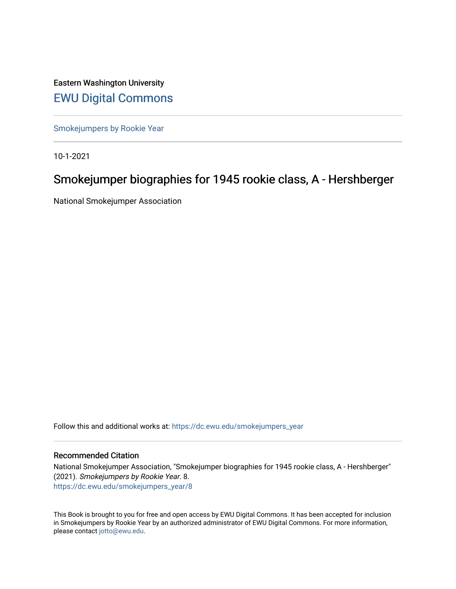Eastern Washington University [EWU Digital Commons](https://dc.ewu.edu/)

[Smokejumpers by Rookie Year](https://dc.ewu.edu/smokejumpers_year)

10-1-2021

# Smokejumper biographies for 1945 rookie class, A - Hershberger

National Smokejumper Association

Follow this and additional works at: [https://dc.ewu.edu/smokejumpers\\_year](https://dc.ewu.edu/smokejumpers_year?utm_source=dc.ewu.edu%2Fsmokejumpers_year%2F8&utm_medium=PDF&utm_campaign=PDFCoverPages) 

#### Recommended Citation

National Smokejumper Association, "Smokejumper biographies for 1945 rookie class, A - Hershberger" (2021). Smokejumpers by Rookie Year. 8. [https://dc.ewu.edu/smokejumpers\\_year/8](https://dc.ewu.edu/smokejumpers_year/8?utm_source=dc.ewu.edu%2Fsmokejumpers_year%2F8&utm_medium=PDF&utm_campaign=PDFCoverPages)

This Book is brought to you for free and open access by EWU Digital Commons. It has been accepted for inclusion in Smokejumpers by Rookie Year by an authorized administrator of EWU Digital Commons. For more information, please contact [jotto@ewu.edu](mailto:jotto@ewu.edu).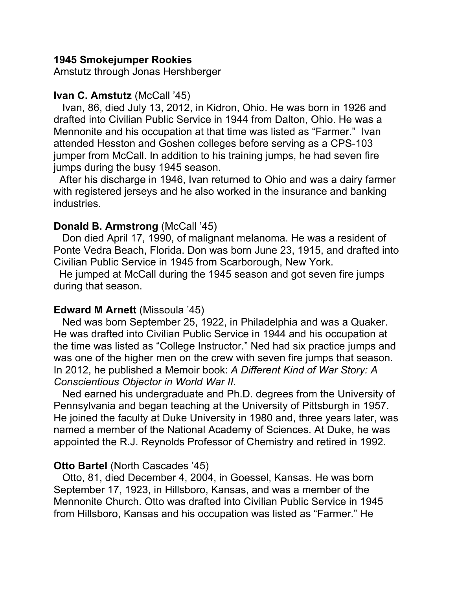## **1945 Smokejumper Rookies**

Amstutz through Jonas Hershberger

# **Ivan C. Amstutz** (McCall '45)

 Ivan, 86, died July 13, 2012, in Kidron, Ohio. He was born in 1926 and drafted into Civilian Public Service in 1944 from Dalton, Ohio. He was a Mennonite and his occupation at that time was listed as "Farmer." Ivan attended Hesston and Goshen colleges before serving as a CPS-103 jumper from McCall. In addition to his training jumps, he had seven fire jumps during the busy 1945 season.

 After his discharge in 1946, Ivan returned to Ohio and was a dairy farmer with registered jerseys and he also worked in the insurance and banking industries.

# **Donald B. Armstrong (McCall '45)**

 Don died April 17, 1990, of malignant melanoma. He was a resident of Ponte Vedra Beach, Florida. Don was born June 23, 1915, and drafted into Civilian Public Service in 1945 from Scarborough, New York.

 He jumped at McCall during the 1945 season and got seven fire jumps during that season.

# **Edward M Arnett** (Missoula '45)

 Ned was born September 25, 1922, in Philadelphia and was a Quaker. He was drafted into Civilian Public Service in 1944 and his occupation at the time was listed as "College Instructor." Ned had six practice jumps and was one of the higher men on the crew with seven fire jumps that season. In 2012, he published a Memoir book: *A Different Kind of War Story: A Conscientious Objector in World War II*.

 Ned earned his undergraduate and Ph.D. degrees from the University of Pennsylvania and began teaching at the University of Pittsburgh in 1957. He joined the faculty at Duke University in 1980 and, three years later, was named a member of the National Academy of Sciences. At Duke, he was appointed the R.J. Reynolds Professor of Chemistry and retired in 1992.

# **Otto Bartel (North Cascades '45)**

 Otto, 81, died December 4, 2004, in Goessel, Kansas. He was born September 17, 1923, in Hillsboro, Kansas, and was a member of the Mennonite Church. Otto was drafted into Civilian Public Service in 1945 from Hillsboro, Kansas and his occupation was listed as "Farmer." He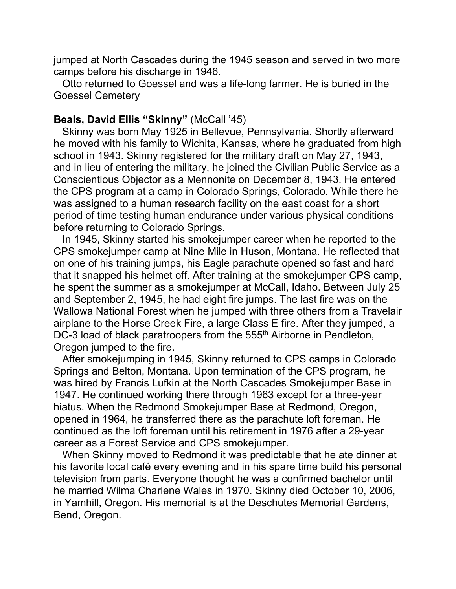jumped at North Cascades during the 1945 season and served in two more camps before his discharge in 1946.

 Otto returned to Goessel and was a life-long farmer. He is buried in the Goessel Cemetery

# **Beals, David Ellis "Skinny"** (McCall '45)

 Skinny was born May 1925 in Bellevue, Pennsylvania. Shortly afterward he moved with his family to Wichita, Kansas, where he graduated from high school in 1943. Skinny registered for the military draft on May 27, 1943, and in lieu of entering the military, he joined the Civilian Public Service as a Conscientious Objector as a Mennonite on December 8, 1943. He entered the CPS program at a camp in Colorado Springs, Colorado. While there he was assigned to a human research facility on the east coast for a short period of time testing human endurance under various physical conditions before returning to Colorado Springs.

 In 1945, Skinny started his smokejumper career when he reported to the CPS smokejumper camp at Nine Mile in Huson, Montana. He reflected that on one of his training jumps, his Eagle parachute opened so fast and hard that it snapped his helmet off. After training at the smokejumper CPS camp, he spent the summer as a smokejumper at McCall, Idaho. Between July 25 and September 2, 1945, he had eight fire jumps. The last fire was on the Wallowa National Forest when he jumped with three others from a Travelair airplane to the Horse Creek Fire, a large Class E fire. After they jumped, a DC-3 load of black paratroopers from the 555<sup>th</sup> Airborne in Pendleton, Oregon jumped to the fire.

 After smokejumping in 1945, Skinny returned to CPS camps in Colorado Springs and Belton, Montana. Upon termination of the CPS program, he was hired by Francis Lufkin at the North Cascades Smokejumper Base in 1947. He continued working there through 1963 except for a three-year hiatus. When the Redmond Smokejumper Base at Redmond, Oregon, opened in 1964, he transferred there as the parachute loft foreman. He continued as the loft foreman until his retirement in 1976 after a 29-year career as a Forest Service and CPS smokejumper.

 When Skinny moved to Redmond it was predictable that he ate dinner at his favorite local café every evening and in his spare time build his personal television from parts. Everyone thought he was a confirmed bachelor until he married Wilma Charlene Wales in 1970. Skinny died October 10, 2006, in Yamhill, Oregon. His memorial is at the Deschutes Memorial Gardens, Bend, Oregon.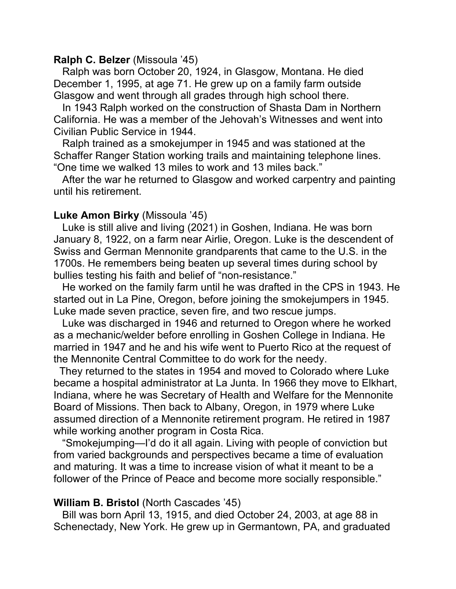## **Ralph C. Belzer** (Missoula '45)

 Ralph was born October 20, 1924, in Glasgow, Montana. He died December 1, 1995, at age 71. He grew up on a family farm outside Glasgow and went through all grades through high school there.

 In 1943 Ralph worked on the construction of Shasta Dam in Northern California. He was a member of the Jehovah's Witnesses and went into Civilian Public Service in 1944.

 Ralph trained as a smokejumper in 1945 and was stationed at the Schaffer Ranger Station working trails and maintaining telephone lines. "One time we walked 13 miles to work and 13 miles back."

 After the war he returned to Glasgow and worked carpentry and painting until his retirement.

### **Luke Amon Birky** (Missoula '45)

 Luke is still alive and living (2021) in Goshen, Indiana. He was born January 8, 1922, on a farm near Airlie, Oregon. Luke is the descendent of Swiss and German Mennonite grandparents that came to the U.S. in the 1700s. He remembers being beaten up several times during school by bullies testing his faith and belief of "non-resistance."

 He worked on the family farm until he was drafted in the CPS in 1943. He started out in La Pine, Oregon, before joining the smokejumpers in 1945. Luke made seven practice, seven fire, and two rescue jumps.

 Luke was discharged in 1946 and returned to Oregon where he worked as a mechanic/welder before enrolling in Goshen College in Indiana. He married in 1947 and he and his wife went to Puerto Rico at the request of the Mennonite Central Committee to do work for the needy.

 They returned to the states in 1954 and moved to Colorado where Luke became a hospital administrator at La Junta. In 1966 they move to Elkhart, Indiana, where he was Secretary of Health and Welfare for the Mennonite Board of Missions. Then back to Albany, Oregon, in 1979 where Luke assumed direction of a Mennonite retirement program. He retired in 1987 while working another program in Costa Rica.

 "Smokejumping—I'd do it all again. Living with people of conviction but from varied backgrounds and perspectives became a time of evaluation and maturing. It was a time to increase vision of what it meant to be a follower of the Prince of Peace and become more socially responsible."

### **William B. Bristol** (North Cascades '45)

 Bill was born April 13, 1915, and died October 24, 2003, at age 88 in Schenectady, New York. He grew up in Germantown, PA, and graduated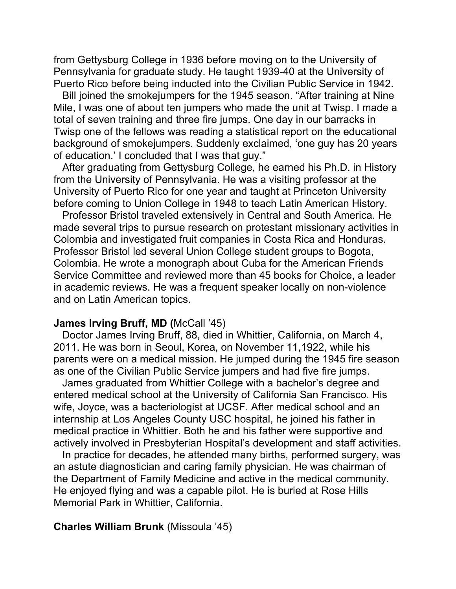from Gettysburg College in 1936 before moving on to the University of Pennsylvania for graduate study. He taught 1939-40 at the University of Puerto Rico before being inducted into the Civilian Public Service in 1942.

 Bill joined the smokejumpers for the 1945 season. "After training at Nine Mile, I was one of about ten jumpers who made the unit at Twisp. I made a total of seven training and three fire jumps. One day in our barracks in Twisp one of the fellows was reading a statistical report on the educational background of smokejumpers. Suddenly exclaimed, 'one guy has 20 years of education.' I concluded that I was that guy."

 After graduating from Gettysburg College, he earned his Ph.D. in History from the University of Pennsylvania. He was a visiting professor at the University of Puerto Rico for one year and taught at Princeton University before coming to Union College in 1948 to teach Latin American History.

 Professor Bristol traveled extensively in Central and South America. He made several trips to pursue research on protestant missionary activities in Colombia and investigated fruit companies in Costa Rica and Honduras. Professor Bristol led several Union College student groups to Bogota, Colombia. He wrote a monograph about Cuba for the American Friends Service Committee and reviewed more than 45 books for Choice, a leader in academic reviews. He was a frequent speaker locally on non-violence and on Latin American topics.

#### **James Irving Bruff, MD (McCall '45)**

 Doctor James Irving Bruff, 88, died in Whittier, California, on March 4, 2011. He was born in Seoul, Korea, on November 11,1922, while his parents were on a medical mission. He jumped during the 1945 fire season as one of the Civilian Public Service jumpers and had five fire jumps.

 James graduated from Whittier College with a bachelor's degree and entered medical school at the University of California San Francisco. His wife, Joyce, was a bacteriologist at UCSF. After medical school and an internship at Los Angeles County USC hospital, he joined his father in medical practice in Whittier. Both he and his father were supportive and actively involved in Presbyterian Hospital's development and staff activities.

 In practice for decades, he attended many births, performed surgery, was an astute diagnostician and caring family physician. He was chairman of the Department of Family Medicine and active in the medical community. He enjoyed flying and was a capable pilot. He is buried at Rose Hills Memorial Park in Whittier, California.

### **Charles William Brunk** (Missoula '45)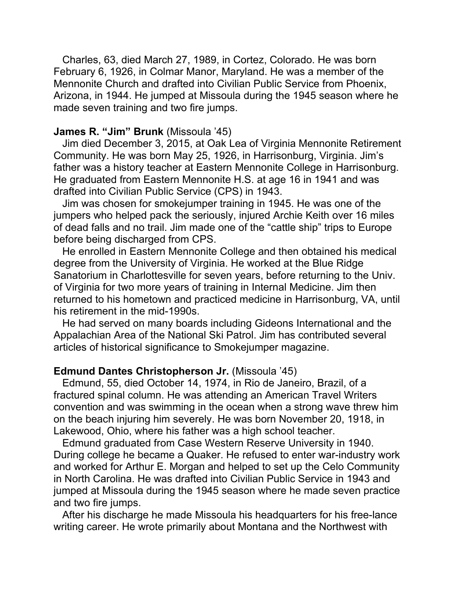Charles, 63, died March 27, 1989, in Cortez, Colorado. He was born February 6, 1926, in Colmar Manor, Maryland. He was a member of the Mennonite Church and drafted into Civilian Public Service from Phoenix, Arizona, in 1944. He jumped at Missoula during the 1945 season where he made seven training and two fire jumps.

## **James R. "Jim" Brunk** (Missoula '45)

 Jim died December 3, 2015, at Oak Lea of Virginia Mennonite Retirement Community. He was born May 25, 1926, in Harrisonburg, Virginia. Jim's father was a history teacher at Eastern Mennonite College in Harrisonburg. He graduated from Eastern Mennonite H.S. at age 16 in 1941 and was drafted into Civilian Public Service (CPS) in 1943.

 Jim was chosen for smokejumper training in 1945. He was one of the jumpers who helped pack the seriously, injured Archie Keith over 16 miles of dead falls and no trail. Jim made one of the "cattle ship" trips to Europe before being discharged from CPS.

 He enrolled in Eastern Mennonite College and then obtained his medical degree from the University of Virginia. He worked at the Blue Ridge Sanatorium in Charlottesville for seven years, before returning to the Univ. of Virginia for two more years of training in Internal Medicine. Jim then returned to his hometown and practiced medicine in Harrisonburg, VA, until his retirement in the mid-1990s.

 He had served on many boards including Gideons International and the Appalachian Area of the National Ski Patrol. Jim has contributed several articles of historical significance to Smokejumper magazine.

#### **Edmund Dantes Christopherson Jr.** (Missoula '45)

 Edmund, 55, died October 14, 1974, in Rio de Janeiro, Brazil, of a fractured spinal column. He was attending an American Travel Writers convention and was swimming in the ocean when a strong wave threw him on the beach injuring him severely. He was born November 20, 1918, in Lakewood, Ohio, where his father was a high school teacher.

 Edmund graduated from Case Western Reserve University in 1940. During college he became a Quaker. He refused to enter war-industry work and worked for Arthur E. Morgan and helped to set up the Celo Community in North Carolina. He was drafted into Civilian Public Service in 1943 and jumped at Missoula during the 1945 season where he made seven practice and two fire jumps.

 After his discharge he made Missoula his headquarters for his free-lance writing career. He wrote primarily about Montana and the Northwest with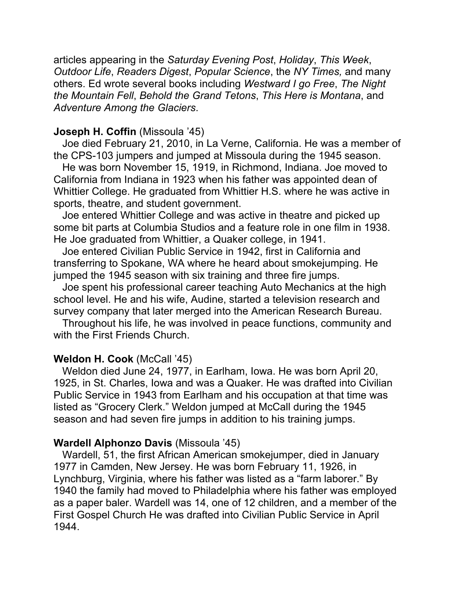articles appearing in the *Saturday Evening Post*, *Holiday*, *This Week*, *Outdoor Life*, *Readers Digest*, *Popular Science*, the *NY Times,* and many others. Ed wrote several books including *Westward I go Free*, *The Night the Mountain Fell*, *Behold the Grand Tetons*, *This Here is Montana*, and *Adventure Among the Glaciers*.

### **Joseph H. Coffin** (Missoula '45)

 Joe died February 21, 2010, in La Verne, California. He was a member of the CPS-103 jumpers and jumped at Missoula during the 1945 season.

 He was born November 15, 1919, in Richmond, Indiana. Joe moved to California from Indiana in 1923 when his father was appointed dean of Whittier College. He graduated from Whittier H.S. where he was active in sports, theatre, and student government.

 Joe entered Whittier College and was active in theatre and picked up some bit parts at Columbia Studios and a feature role in one film in 1938. He Joe graduated from Whittier, a Quaker college, in 1941.

 Joe entered Civilian Public Service in 1942, first in California and transferring to Spokane, WA where he heard about smokejumping. He jumped the 1945 season with six training and three fire jumps.

 Joe spent his professional career teaching Auto Mechanics at the high school level. He and his wife, Audine, started a television research and survey company that later merged into the American Research Bureau.

 Throughout his life, he was involved in peace functions, community and with the First Friends Church.

## **Weldon H. Cook** (McCall '45)

 Weldon died June 24, 1977, in Earlham, Iowa. He was born April 20, 1925, in St. Charles, Iowa and was a Quaker. He was drafted into Civilian Public Service in 1943 from Earlham and his occupation at that time was listed as "Grocery Clerk." Weldon jumped at McCall during the 1945 season and had seven fire jumps in addition to his training jumps.

## **Wardell Alphonzo Davis** (Missoula '45)

 Wardell, 51, the first African American smokejumper, died in January 1977 in Camden, New Jersey. He was born February 11, 1926, in Lynchburg, Virginia, where his father was listed as a "farm laborer." By 1940 the family had moved to Philadelphia where his father was employed as a paper baler. Wardell was 14, one of 12 children, and a member of the First Gospel Church He was drafted into Civilian Public Service in April 1944.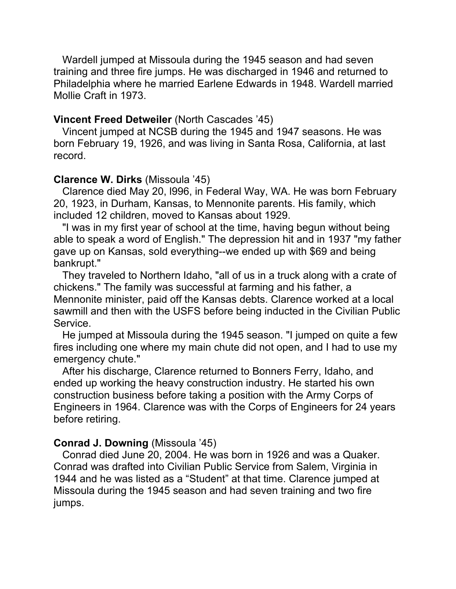Wardell jumped at Missoula during the 1945 season and had seven training and three fire jumps. He was discharged in 1946 and returned to Philadelphia where he married Earlene Edwards in 1948. Wardell married Mollie Craft in 1973.

## **Vincent Freed Detweiler** (North Cascades '45)

 Vincent jumped at NCSB during the 1945 and 1947 seasons. He was born February 19, 1926, and was living in Santa Rosa, California, at last record.

## **Clarence W. Dirks** (Missoula '45)

 Clarence died May 20, l996, in Federal Way, WA. He was born February 20, 1923, in Durham, Kansas, to Mennonite parents. His family, which included 12 children, moved to Kansas about 1929.

 "I was in my first year of school at the time, having begun without being able to speak a word of English." The depression hit and in 1937 "my father gave up on Kansas, sold everything--we ended up with \$69 and being bankrupt."

 They traveled to Northern Idaho, "all of us in a truck along with a crate of chickens." The family was successful at farming and his father, a Mennonite minister, paid off the Kansas debts. Clarence worked at a local sawmill and then with the USFS before being inducted in the Civilian Public Service.

 He jumped at Missoula during the 1945 season. "I jumped on quite a few fires including one where my main chute did not open, and I had to use my emergency chute."

 After his discharge, Clarence returned to Bonners Ferry, Idaho, and ended up working the heavy construction industry. He started his own construction business before taking a position with the Army Corps of Engineers in 1964. Clarence was with the Corps of Engineers for 24 years before retiring.

## **Conrad J. Downing** (Missoula '45)

 Conrad died June 20, 2004. He was born in 1926 and was a Quaker. Conrad was drafted into Civilian Public Service from Salem, Virginia in 1944 and he was listed as a "Student" at that time. Clarence jumped at Missoula during the 1945 season and had seven training and two fire jumps.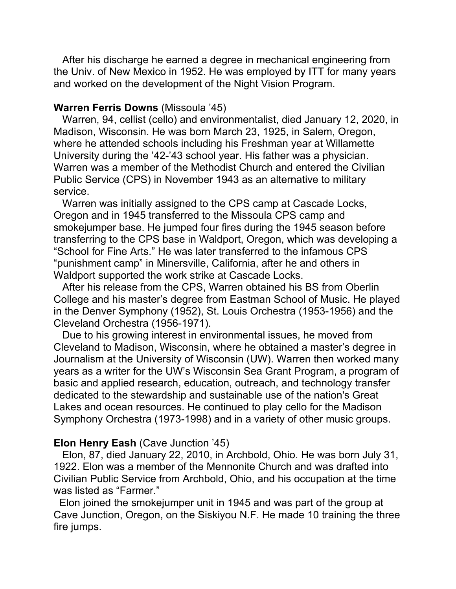After his discharge he earned a degree in mechanical engineering from the Univ. of New Mexico in 1952. He was employed by ITT for many years and worked on the development of the Night Vision Program.

#### **Warren Ferris Downs** (Missoula '45)

 Warren, 94, cellist (cello) and environmentalist, died January 12, 2020, in Madison, Wisconsin. He was born March 23, 1925, in Salem, Oregon, where he attended schools including his Freshman year at Willamette University during the '42-'43 school year. His father was a physician. Warren was a member of the Methodist Church and entered the Civilian Public Service (CPS) in November 1943 as an alternative to military service.

 Warren was initially assigned to the CPS camp at Cascade Locks, Oregon and in 1945 transferred to the Missoula CPS camp and smokejumper base. He jumped four fires during the 1945 season before transferring to the CPS base in Waldport, Oregon, which was developing a "School for Fine Arts." He was later transferred to the infamous CPS "punishment camp" in Minersville, California, after he and others in Waldport supported the work strike at Cascade Locks.

 After his release from the CPS, Warren obtained his BS from Oberlin College and his master's degree from Eastman School of Music. He played in the Denver Symphony (1952), St. Louis Orchestra (1953-1956) and the Cleveland Orchestra (1956-1971).

 Due to his growing interest in environmental issues, he moved from Cleveland to Madison, Wisconsin, where he obtained a master's degree in Journalism at the University of Wisconsin (UW). Warren then worked many years as a writer for the UW's Wisconsin Sea Grant Program, a program of basic and applied research, education, outreach, and technology transfer dedicated to the stewardship and sustainable use of the nation's Great Lakes and ocean resources. He continued to play cello for the Madison Symphony Orchestra (1973-1998) and in a variety of other music groups.

#### **Elon Henry Eash** (Cave Junction '45)

 Elon, 87, died January 22, 2010, in Archbold, Ohio. He was born July 31, 1922. Elon was a member of the Mennonite Church and was drafted into Civilian Public Service from Archbold, Ohio, and his occupation at the time was listed as "Farmer."

 Elon joined the smokejumper unit in 1945 and was part of the group at Cave Junction, Oregon, on the Siskiyou N.F. He made 10 training the three fire jumps.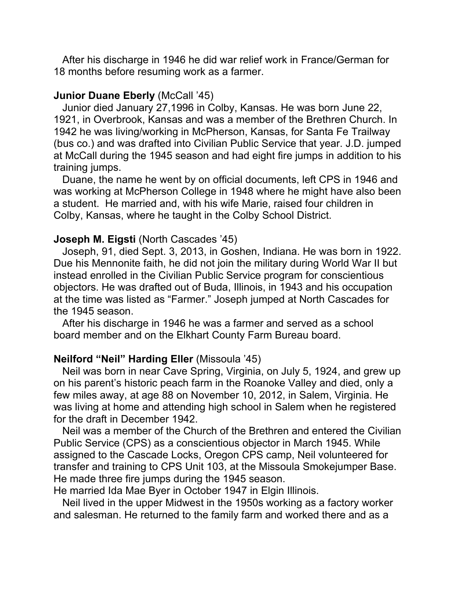After his discharge in 1946 he did war relief work in France/German for 18 months before resuming work as a farmer.

#### **Junior Duane Eberly (McCall '45)**

 Junior died January 27,1996 in Colby, Kansas. He was born June 22, 1921, in Overbrook, Kansas and was a member of the Brethren Church. In 1942 he was living/working in McPherson, Kansas, for Santa Fe Trailway (bus co.) and was drafted into Civilian Public Service that year. J.D. jumped at McCall during the 1945 season and had eight fire jumps in addition to his training jumps.

 Duane, the name he went by on official documents, left CPS in 1946 and was working at McPherson College in 1948 where he might have also been a student. He married and, with his wife Marie, raised four children in Colby, Kansas, where he taught in the Colby School District.

#### **Joseph M. Eigsti** (North Cascades '45)

 Joseph, 91, died Sept. 3, 2013, in Goshen, Indiana. He was born in 1922. Due his Mennonite faith, he did not join the military during World War II but instead enrolled in the Civilian Public Service program for conscientious objectors. He was drafted out of Buda, Illinois, in 1943 and his occupation at the time was listed as "Farmer." Joseph jumped at North Cascades for the 1945 season.

 After his discharge in 1946 he was a farmer and served as a school board member and on the Elkhart County Farm Bureau board.

## **Neilford "Neil" Harding Eller** (Missoula '45)

 Neil was born in near Cave Spring, Virginia, on July 5, 1924, and grew up on his parent's historic peach farm in the Roanoke Valley and died, only a few miles away, at age 88 on November 10, 2012, in Salem, Virginia. He was living at home and attending high school in Salem when he registered for the draft in December 1942.

 Neil was a member of the Church of the Brethren and entered the Civilian Public Service (CPS) as a conscientious objector in March 1945. While assigned to the Cascade Locks, Oregon CPS camp, Neil volunteered for transfer and training to CPS Unit 103, at the Missoula Smokejumper Base. He made three fire jumps during the 1945 season.

He married Ida Mae Byer in October 1947 in Elgin Illinois.

 Neil lived in the upper Midwest in the 1950s working as a factory worker and salesman. He returned to the family farm and worked there and as a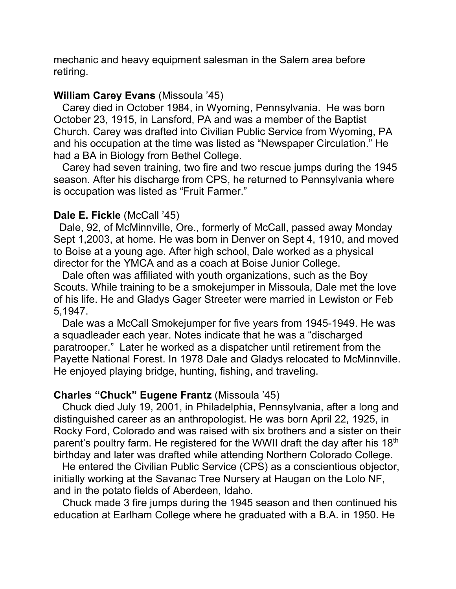mechanic and heavy equipment salesman in the Salem area before retiring.

## **William Carey Evans** (Missoula '45)

 Carey died in October 1984, in Wyoming, Pennsylvania. He was born October 23, 1915, in Lansford, PA and was a member of the Baptist Church. Carey was drafted into Civilian Public Service from Wyoming, PA and his occupation at the time was listed as "Newspaper Circulation." He had a BA in Biology from Bethel College.

 Carey had seven training, two fire and two rescue jumps during the 1945 season. After his discharge from CPS, he returned to Pennsylvania where is occupation was listed as "Fruit Farmer."

## **Dale E. Fickle** (McCall '45)

 Dale, 92, of McMinnville, Ore., formerly of McCall, passed away Monday Sept 1,2003, at home. He was born in Denver on Sept 4, 1910, and moved to Boise at a young age. After high school, Dale worked as a physical director for the YMCA and as a coach at Boise Junior College.

 Dale often was affiliated with youth organizations, such as the Boy Scouts. While training to be a smokejumper in Missoula, Dale met the love of his life. He and Gladys Gager Streeter were married in Lewiston or Feb 5,1947.

 Dale was a McCall Smokejumper for five years from 1945-1949. He was a squadleader each year. Notes indicate that he was a "discharged paratrooper." Later he worked as a dispatcher until retirement from the Payette National Forest. In 1978 Dale and Gladys relocated to McMinnville. He enjoyed playing bridge, hunting, fishing, and traveling.

## **Charles "Chuck" Eugene Frantz** (Missoula '45)

 Chuck died July 19, 2001, in Philadelphia, Pennsylvania, after a long and distinguished career as an anthropologist. He was born April 22, 1925, in Rocky Ford, Colorado and was raised with six brothers and a sister on their parent's poultry farm. He registered for the WWII draft the day after his 18<sup>th</sup> birthday and later was drafted while attending Northern Colorado College.

 He entered the Civilian Public Service (CPS) as a conscientious objector, initially working at the Savanac Tree Nursery at Haugan on the Lolo NF, and in the potato fields of Aberdeen, Idaho.

 Chuck made 3 fire jumps during the 1945 season and then continued his education at Earlham College where he graduated with a B.A. in 1950. He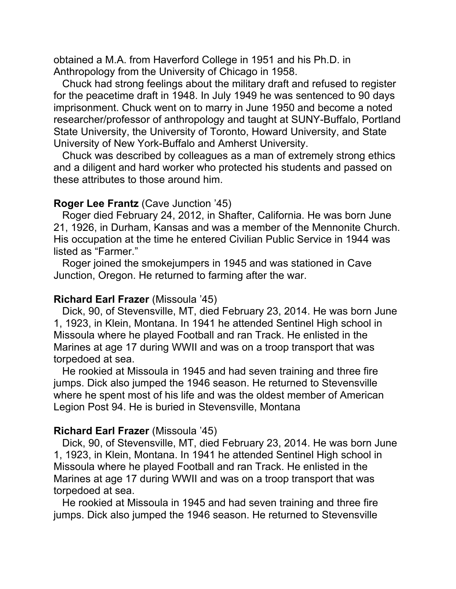obtained a M.A. from Haverford College in 1951 and his Ph.D. in Anthropology from the University of Chicago in 1958.

 Chuck had strong feelings about the military draft and refused to register for the peacetime draft in 1948. In July 1949 he was sentenced to 90 days imprisonment. Chuck went on to marry in June 1950 and become a noted researcher/professor of anthropology and taught at SUNY-Buffalo, Portland State University, the University of Toronto, Howard University, and State University of New York-Buffalo and Amherst University.

 Chuck was described by colleagues as a man of extremely strong ethics and a diligent and hard worker who protected his students and passed on these attributes to those around him.

## **Roger Lee Frantz** (Cave Junction '45)

 Roger died February 24, 2012, in Shafter, California. He was born June 21, 1926, in Durham, Kansas and was a member of the Mennonite Church. His occupation at the time he entered Civilian Public Service in 1944 was listed as "Farmer."

 Roger joined the smokejumpers in 1945 and was stationed in Cave Junction, Oregon. He returned to farming after the war.

## **Richard Earl Frazer** (Missoula '45)

 Dick, 90, of Stevensville, MT, died February 23, 2014. He was born June 1, 1923, in Klein, Montana. In 1941 he attended Sentinel High school in Missoula where he played Football and ran Track. He enlisted in the Marines at age 17 during WWII and was on a troop transport that was torpedoed at sea.

 He rookied at Missoula in 1945 and had seven training and three fire jumps. Dick also jumped the 1946 season. He returned to Stevensville where he spent most of his life and was the oldest member of American Legion Post 94. He is buried in Stevensville, Montana

## **Richard Earl Frazer** (Missoula '45)

 Dick, 90, of Stevensville, MT, died February 23, 2014. He was born June 1, 1923, in Klein, Montana. In 1941 he attended Sentinel High school in Missoula where he played Football and ran Track. He enlisted in the Marines at age 17 during WWII and was on a troop transport that was torpedoed at sea.

 He rookied at Missoula in 1945 and had seven training and three fire jumps. Dick also jumped the 1946 season. He returned to Stevensville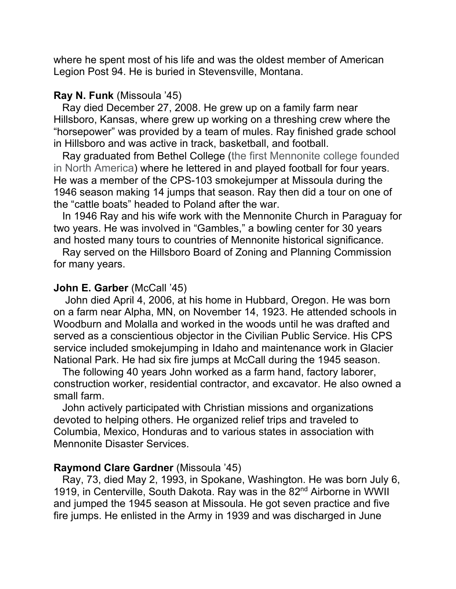where he spent most of his life and was the oldest member of American Legion Post 94. He is buried in Stevensville, Montana.

#### **Ray N. Funk** (Missoula '45)

 Ray died December 27, 2008. He grew up on a family farm near Hillsboro, Kansas, where grew up working on a threshing crew where the "horsepower" was provided by a team of mules. Ray finished grade school in Hillsboro and was active in track, basketball, and football.

 Ray graduated from Bethel College (the first Mennonite college founded in North America) where he lettered in and played football for four years. He was a member of the CPS-103 smokejumper at Missoula during the 1946 season making 14 jumps that season. Ray then did a tour on one of the "cattle boats" headed to Poland after the war.

 In 1946 Ray and his wife work with the Mennonite Church in Paraguay for two years. He was involved in "Gambles," a bowling center for 30 years and hosted many tours to countries of Mennonite historical significance.

 Ray served on the Hillsboro Board of Zoning and Planning Commission for many years.

#### **John E. Garber (McCall '45)**

 John died April 4, 2006, at his home in Hubbard, Oregon. He was born on a farm near Alpha, MN, on November 14, 1923. He attended schools in Woodburn and Molalla and worked in the woods until he was drafted and served as a conscientious objector in the Civilian Public Service. His CPS service included smokejumping in Idaho and maintenance work in Glacier National Park. He had six fire jumps at McCall during the 1945 season.

 The following 40 years John worked as a farm hand, factory laborer, construction worker, residential contractor, and excavator. He also owned a small farm.

 John actively participated with Christian missions and organizations devoted to helping others. He organized relief trips and traveled to Columbia, Mexico, Honduras and to various states in association with Mennonite Disaster Services.

#### **Raymond Clare Gardner** (Missoula '45)

 Ray, 73, died May 2, 1993, in Spokane, Washington. He was born July 6, 1919, in Centerville, South Dakota. Ray was in the 82<sup>nd</sup> Airborne in WWII and jumped the 1945 season at Missoula. He got seven practice and five fire jumps. He enlisted in the Army in 1939 and was discharged in June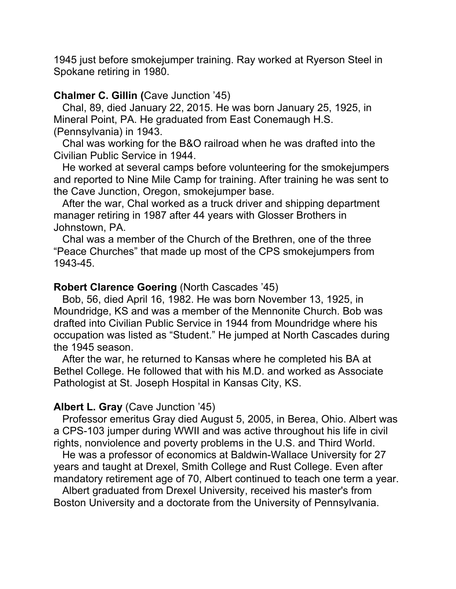1945 just before smokejumper training. Ray worked at Ryerson Steel in Spokane retiring in 1980.

## **Chalmer C. Gillin (**Cave Junction '45)

 Chal, 89, died January 22, 2015. He was born January 25, 1925, in Mineral Point, PA. He graduated from East Conemaugh H.S. (Pennsylvania) in 1943.

 Chal was working for the B&O railroad when he was drafted into the Civilian Public Service in 1944.

 He worked at several camps before volunteering for the smokejumpers and reported to Nine Mile Camp for training. After training he was sent to the Cave Junction, Oregon, smokejumper base.

 After the war, Chal worked as a truck driver and shipping department manager retiring in 1987 after 44 years with Glosser Brothers in Johnstown, PA.

 Chal was a member of the Church of the Brethren, one of the three "Peace Churches" that made up most of the CPS smokejumpers from 1943-45.

## **Robert Clarence Goering** (North Cascades '45)

 Bob, 56, died April 16, 1982. He was born November 13, 1925, in Moundridge, KS and was a member of the Mennonite Church. Bob was drafted into Civilian Public Service in 1944 from Moundridge where his occupation was listed as "Student." He jumped at North Cascades during the 1945 season.

 After the war, he returned to Kansas where he completed his BA at Bethel College. He followed that with his M.D. and worked as Associate Pathologist at St. Joseph Hospital in Kansas City, KS.

### **Albert L. Gray** (Cave Junction '45)

 Professor emeritus Gray died August 5, 2005, in Berea, Ohio. Albert was a CPS-103 jumper during WWII and was active throughout his life in civil rights, nonviolence and poverty problems in the U.S. and Third World.

 He was a professor of economics at Baldwin-Wallace University for 27 years and taught at Drexel, Smith College and Rust College. Even after mandatory retirement age of 70, Albert continued to teach one term a year.

 Albert graduated from Drexel University, received his master's from Boston University and a doctorate from the University of Pennsylvania.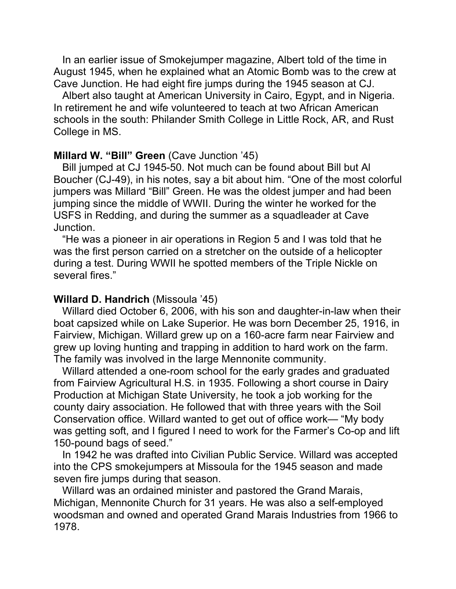In an earlier issue of Smokejumper magazine, Albert told of the time in August 1945, when he explained what an Atomic Bomb was to the crew at Cave Junction. He had eight fire jumps during the 1945 season at CJ.

 Albert also taught at American University in Cairo, Egypt, and in Nigeria. In retirement he and wife volunteered to teach at two African American schools in the south: Philander Smith College in Little Rock, AR, and Rust College in MS.

#### **Millard W. "Bill" Green** (Cave Junction '45)

 Bill jumped at CJ 1945-50. Not much can be found about Bill but Al Boucher (CJ-49), in his notes, say a bit about him. "One of the most colorful jumpers was Millard "Bill" Green. He was the oldest jumper and had been jumping since the middle of WWII. During the winter he worked for the USFS in Redding, and during the summer as a squadleader at Cave Junction.

 "He was a pioneer in air operations in Region 5 and I was told that he was the first person carried on a stretcher on the outside of a helicopter during a test. During WWII he spotted members of the Triple Nickle on several fires."

#### **Willard D. Handrich** (Missoula '45)

 Willard died October 6, 2006, with his son and daughter-in-law when their boat capsized while on Lake Superior. He was born December 25, 1916, in Fairview, Michigan. Willard grew up on a 160-acre farm near Fairview and grew up loving hunting and trapping in addition to hard work on the farm. The family was involved in the large Mennonite community.

 Willard attended a one-room school for the early grades and graduated from Fairview Agricultural H.S. in 1935. Following a short course in Dairy Production at Michigan State University, he took a job working for the county dairy association. He followed that with three years with the Soil Conservation office. Willard wanted to get out of office work— "My body was getting soft, and I figured I need to work for the Farmer's Co-op and lift 150-pound bags of seed."

 In 1942 he was drafted into Civilian Public Service. Willard was accepted into the CPS smokejumpers at Missoula for the 1945 season and made seven fire jumps during that season.

 Willard was an ordained minister and pastored the Grand Marais, Michigan, Mennonite Church for 31 years. He was also a self-employed woodsman and owned and operated Grand Marais Industries from 1966 to 1978.